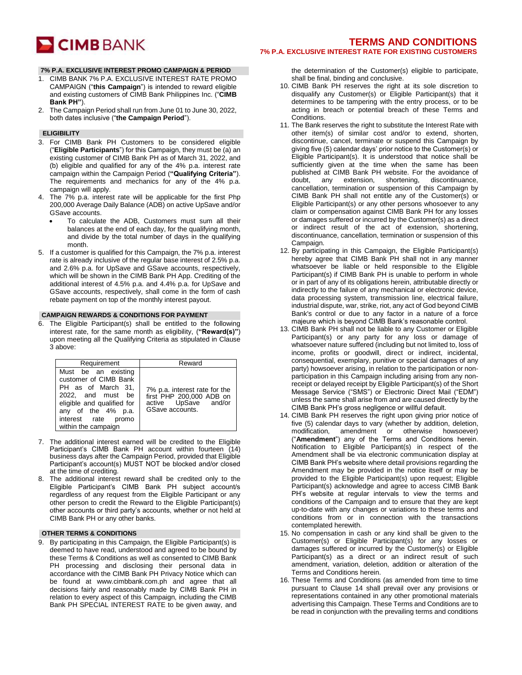

# **TERMS AND CONDITIONS 7% P.A. EXCLUSIVE INTEREST RATE FOR EXISTING CUSTOMERS**

## **7% P.A. EXCLUSIVE INTEREST PROMO CAMPAIGN & PERIOD**

- 1. CIMB BANK 7% P.A. EXCLUSIVE INTEREST RATE PROMO CAMPAIGN ("**this Campaign**") is intended to reward eligible and existing customers of CIMB Bank Philippines Inc. ("**CIMB Bank PH"**).
- 2. The Campaign Period shall run from June 01 to June 30, 2022, both dates inclusive ("**the Campaign Period**").

#### **ELIGIBILITY**

- 3. For CIMB Bank PH Customers to be considered eligible ("**Eligible Participants**") for this Campaign, they must be (a) an existing customer of CIMB Bank PH as of March 31, 2022, and (b) eligible and qualified for any of the 4% p.a. interest rate campaign within the Campaign Period (**"Qualifying Criteria"**). The requirements and mechanics for any of the 4% p.a. campaign will apply.
- 4. The 7% p.a. interest rate will be applicable for the first Php 200,000 Average Daily Balance (ADB) on active UpSave and/or GSave accounts.
	- To calculate the ADB, Customers must sum all their balances at the end of each day, for the qualifying month, and divide by the total number of days in the qualifying month.
- 5. If a customer is qualified for this Campaign, the 7% p.a. interest rate is already inclusive of the regular base interest of 2.5% p.a. and 2.6% p.a. for UpSave and GSave accounts, respectively, which will be shown in the CIMB Bank PH App. Crediting of the additional interest of 4.5% p.a. and 4.4% p.a. for UpSave and GSave accounts, respectively, shall come in the form of cash rebate payment on top of the monthly interest payout.

#### **CAMPAIGN REWARDS & CONDITIONS FOR PAYMENT**

6. The Eligible Participant(s) shall be entitled to the following interest rate, for the same month as eligibility, (**"Reward(s)"**) upon meeting all the Qualifying Criteria as stipulated in Clause 3 above:

| Requirement                                                                                                                                                                                  | Reward                                                                                            |
|----------------------------------------------------------------------------------------------------------------------------------------------------------------------------------------------|---------------------------------------------------------------------------------------------------|
| Must be an existing<br>customer of CIMB Bank<br>PH as of March 31,<br>2022, and must be<br>eligible and qualified for<br>any of the 4% p.a.<br>interest rate<br>promo<br>within the campaign | 7% p.a. interest rate for the first PHP 200,000 ADB on<br>active UpSave and/or<br>GSave accounts. |

- 7. The additional interest earned will be credited to the Eligible Participant's CIMB Bank PH account within fourteen (14) business days after the Campaign Period, provided that Eligible Participant's account(s) MUST NOT be blocked and/or closed at the time of crediting.
- 8. The additional interest reward shall be credited only to the Eligible Participant's CIMB Bank PH subject account/s regardless of any request from the Eligible Participant or any other person to credit the Reward to the Eligible Participant(s) other accounts or third party's accounts, whether or not held at CIMB Bank PH or any other banks.

### **OTHER TERMS & CONDITIONS**

9. By participating in this Campaign, the Eligible Participant(s) is deemed to have read, understood and agreed to be bound by these Terms & Conditions as well as consented to CIMB Bank PH processing and disclosing their personal data in accordance with the CIMB Bank PH Privacy Notice which can be found at [www.cimbbank.com.ph](http://www.cimbbank.com.ph/) and agree that all decisions fairly and reasonably made by CIMB Bank PH in relation to every aspect of this Campaign, including the CIMB Bank PH SPECIAL INTEREST RATE to be given away, and

the determination of the Customer(s) eligible to participate, shall be final, binding and conclusive.

- 10. CIMB Bank PH reserves the right at its sole discretion to disqualify any Customer(s) or Eligible Participant(s) that it determines to be tampering with the entry process, or to be acting in breach or potential breach of these Terms and Conditions.
- 11. The Bank reserves the right to substitute the Interest Rate with other item(s) of similar cost and/or to extend, shorten, discontinue, cancel, terminate or suspend this Campaign by giving five (5) calendar days' prior notice to the Customer(s) or Eligible Participant(s). It is understood that notice shall be sufficiently given at the time when the same has been published at CIMB Bank PH website. For the avoidance of doubt, any extension, shortening, discontinuance, cancellation, termination or suspension of this Campaign by CIMB Bank PH shall not entitle any of the Customer(s) or Eligible Participant(s) or any other persons whosoever to any claim or compensation against CIMB Bank PH for any losses or damages suffered or incurred by the Customer(s) as a direct or indirect result of the act of extension, shortening, discontinuance, cancellation, termination or suspension of this Campaign.
- 12. By participating in this Campaign, the Eligible Participant(s) hereby agree that CIMB Bank PH shall not in any manner whatsoever be liable or held responsible to the Eligible Participant(s) if CIMB Bank PH is unable to perform in whole or in part of any of its obligations herein, attributable directly or indirectly to the failure of any mechanical or electronic device, data processing system, transmission line, electrical failure, industrial dispute, war, strike, riot, any act of God beyond CIMB Bank's control or due to any factor in a nature of a force majeure which is beyond CIMB Bank's reasonable control.
- 13. CIMB Bank PH shall not be liable to any Customer or Eligible Participant(s) or any party for any loss or damage of whatsoever nature suffered (including but not limited to, loss of income, profits or goodwill, direct or indirect, incidental, consequential, exemplary, punitive or special damages of any party) howsoever arising, in relation to the participation or nonparticipation in this Campaign including arising from any nonreceipt or delayed receipt by Eligible Participant(s) of the Short Message Service ("SMS") or Electronic Direct Mail ("EDM") unless the same shall arise from and are caused directly by the CIMB Bank PH's gross negligence or willful default.
- 14. CIMB Bank PH reserves the right upon giving prior notice of five (5) calendar days to vary (whether by addition, deletion, modification, amendment or otherwise howsoever) ("**Amendment**") any of the Terms and Conditions herein. Notification to Eligible Participant(s) in respect of the Amendment shall be via electronic communication display at CIMB Bank PH's website where detail provisions regarding the Amendment may be provided in the notice itself or may be provided to the Eligible Participant(s) upon request; Eligible Participant(s) acknowledge and agree to access CIMB Bank PH's website at regular intervals to view the terms and conditions of the Campaign and to ensure that they are kept up-to-date with any changes or variations to these terms and conditions from or in connection with the transactions contemplated herewith.
- 15. No compensation in cash or any kind shall be given to the Customer(s) or Eligible Participant(s) for any losses or damages suffered or incurred by the Customer(s) or Eligible Participant(s) as a direct or an indirect result of such amendment, variation, deletion, addition or alteration of the Terms and Conditions herein.
- 16. These Terms and Conditions (as amended from time to time pursuant to Clause 14 shall prevail over any provisions or representations contained in any other promotional materials advertising this Campaign. These Terms and Conditions are to be read in conjunction with the prevailing terms and conditions